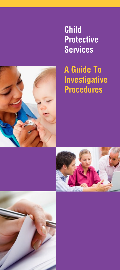

**Child Protective Services**

**A Guide To Investigative Procedures**



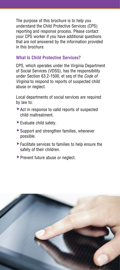The purpose of this brochure is to help you understand the Child Protective Services (CPS) reporting and response process. Please contact your CPS worker if you have additional questions that are not answered by the information provided in this brochure.

## **What Is Child Protective Services?**

CPS, which operates under the Virginia Department of Social Services (VDSS), has the responsibility under Section 63.2-1500, et seq of the *Code of Virginia* to respond to reports of suspected child abuse or neglect.

Local departments of social services are required by law to:

- $\blacktriangleright$  Act in response to valid reports of suspected child maltreatment.
- $\blacktriangleright$  Evaluate child safety.
- $\blacktriangleright$  Support and strengthen families, whenever possible.
- $\blacktriangleright$  Facilitate services to families to help ensure the safety of their children.
- $\blacktriangleright$  Prevent future abuse or neglect.

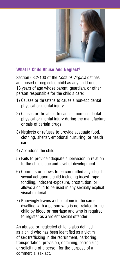

# **What Is Child Abuse And Neglect?**

Section 63.2-100 of the *Code of Virginia* defines an abused or neglected child as any child under 18 years of age whose parent, quardian, or other person responsible for the child's care:

- 1) Causes or threatens to cause a non-accidental physical or mental injury.
- 2) Causes or threatens to cause a non-accidental physical or mental injury during the manufacture or sale of certain drugs.
- 3) Neglects or refuses to provide adequate food, clothing, shelter, emotional nurturing, or health care.
- 4) Abandons the child.
- 5) Fails to provide adequate supervision in relation to the child's age and level of development.
- 6) Commits or allows to be committed any illegal sexual act upon a child including incest, rape. fondling, indecent exposure, prostitution, or allows a child to be used in any sexually explicit visual material.
- 7) Knowingly leaves a child alone in the same dwelling with a person who is not related to the child by blood or marriage and who is required to register as a violent sexual offender.

An abused or neglected child is also defined as a child who has been identified as a victim of sex trafficking in the recruitment, harboring, transportation, provision, obtaining, patronizing or soliciting of a person for the purpose of a commercial sex act.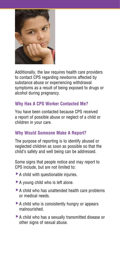

Additionally, the law requires health care providers to contact CPS regarding newborns affected by substance abuse or experiencing withdrawal symptoms as a result of being exposed to drugs or alcohol during pregnancy.

# **Why Has A CPS Worker Contacted Me?**

You have been contacted because CPS received a report of possible abuse or neglect of a child or children in your care.

# **Why Would Someone Make A Report?**

The purpose of reporting is to identify abused or neglected children as soon as possible so that the child's safety and well being can be addressed.

Some signs that people notice and may report to CPS include, but are not limited to:

- $\blacktriangleright$  A child with questionable injuries.
- $\blacktriangleright$  A young child who is left alone.
- $\blacktriangleright$  A child who has unattended health care problems or medical needs.
- $\blacktriangleright$  A child who is consistently hungry or appears malnourished.
- $\blacktriangleright$  A child who has a sexually transmitted disease or other signs of sexual abuse.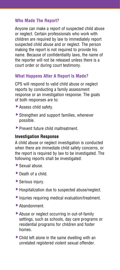## **Who Made The Report?**

Anyone can make a report of suspected child abuse or neglect. Certain professionals who work with children are required by law to immediately report suspected child abuse and or neglect. The person making the report is not required to provide his name. Because of confidentiality laws, the name of the reporter will not be released unless there is a court order or during court testimony.

# **What Happens After A Report Is Made?**

CPS will respond to valid child abuse or neglect reports by conducting a family assessment response or an investigation response. The goals of both responses are to:

- $\blacktriangleright$  Assess child safety.
- $\blacktriangleright$  Strengthen and support families, whenever possible.
- $\blacktriangleright$  Prevent future child maltreatment.

## **Investigation Response**

A child abuse or neglect investigation is conducted when there are immediate child safety concerns, or the report is required by law to be investigated. The following reports shall be investigated:

- $\blacktriangleright$  Sexual abuse.
- $\blacktriangleright$  Death of a child.
- $\blacktriangleright$  Serious injury.
- $\blacktriangleright$  Hospitalization due to suspected abuse/neglect.
- $\blacktriangleright$  Iniuries requiring medical evaluation/treatment.
- $\blacktriangleright$  Abandonment.
- $\blacktriangleright$  Abuse or neglect occurring in out-of-family settings, such as schools, day care programs or residential programs for children and foster homes.
- $\triangleright$  Child left alone in the same dwelling with an unrelated registered violent sexual offender.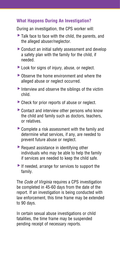# **What Happens During An Investigation?**

During an investigation, the CPS worker will:

- $\blacktriangleright$  Talk face to face with the child, the parents, and the alleged abuser/neglector.
- $\triangleright$  Conduct an initial safety assessment and develop a safety plan with the family for the child, if needed.
- $\blacktriangleright$  Look for signs of injury, abuse, or neglect.
- $\triangleright$  Observe the home environment and where the alleged abuse or neglect occurred.
- $\blacktriangleright$  Interview and observe the siblings of the victim child.
- $\triangleright$  Check for prior reports of abuse or neglect.
- $\triangleright$  Contact and interview other persons who know the child and family such as doctors, teachers, or relatives.
- $\triangleright$  Complete a risk assessment with the family and determine what services, if any, are needed to prevent future abuse or neglect.
- $\blacktriangleright$  Request assistance in identifying other individuals who may be able to help the family if services are needed to keep the child safe.
- $\blacktriangleright$  If needed, arrange for services to support the family.

The *Code of Virginia* requires a CPS investigation be completed in 45-60 days from the date of the report. If an investigation is being conducted with law enforcement, this time frame may be extended to 90 days.

In certain sexual abuse investigations or child fatalities, the time frame may be suspended pending receipt of necessary reports.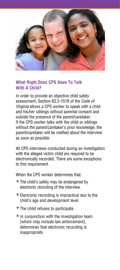

## **What Right Does CPS Have To Talk With A Child?**

In order to provide an objective child safety assessment, Section 63.2-1518 of the *Code of Virginia* allows a CPS worker to speak with a child and his/her siblings without parental consent and outside the presence of the parent/caretaker. If the CPS worker talks with the child or siblings without the parent/caretaker's prior knowledge, the parent/caretaker will be notified about the interview as soon as possible.

All CPS interviews conducted during an investigation with the alleged victim child are required to be electronically recorded. There are some exceptions to this requirement.

When the CPS worker determines that:

- $\blacktriangleright$  The child's safety may be endangered by electronic recording of the interview.
- $\blacktriangleright$  Electronic recording is impractical due to the child's age and development level.
- $\blacktriangleright$  The child refuses to participate.
- In conjunction with the investigation team (which may include law enforcement), determines that electronic recording is inappropriate.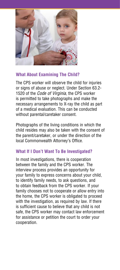

## **What About Examining The Child?**

The CPS worker will observe the child for injuries or signs of abuse or neglect. Under Section 63.2- 1520 of the *Code of Virginia*, the CPS worker is permitted to take photographs and make the necessary arrangements to X-ray the child as part of a medical evaluation. This can be conducted without parental/caretaker consent.

Photographs of the living conditions in which the child resides may also be taken with the consent of the parent/caretaker, or under the direction of the local Commonwealth Attorney's Office.

## **What If I Don't Want To Be Investigated?**

In most investigations, there is cooperation between the family and the CPS worker. The interview process provides an opportunity for your family to express concerns about your child, to identify family needs, to ask questions, and to obtain feedback from the CPS worker. If your family chooses not to cooperate or allow entry into the home, the CPS worker is obligated to proceed with the investigation, as required by law. If there is sufficient cause to believe that any child is not safe, the CPS worker may contact law enforcement for assistance or petition the court to order your cooperation.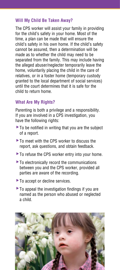#### **Will My Child Be Taken Away?**

The CPS worker will assist your family in providing for the child's safety in your home. Most of the time, a plan can be made that will ensure the child's safety in his own home. If the child's safety cannot be assured, then a determination will be made as to whether the child may need to be separated from the family. This may include having the alleged abuser/neglecter temporarily leave the home, voluntarily placing the child in the care of relatives, or in a foster home (temporary custody granted to the local department of social services) until the court determines that it is safe for the child to return home.

#### **What Are My Rights?**

Parenting is both a privilege and a responsibility. If you are involved in a CPS investigation, you have the following rights:

- $\blacktriangleright$  To be notified in writing that you are the subject of a report.
- $\blacktriangleright$  To meet with the CPS worker to discuss the report, ask questions, and obtain feedback.
- $\blacktriangleright$  To refuse the CPS worker entry into your home.
- $\blacktriangleright$  To electronically record the communications between you and the CPS worker, provided all parties are aware of the recording.
- $\blacktriangleright$  To accept or decline services.
- $\blacktriangleright$  To appeal the investigation findings if you are named as the person who abused or neglected a child.

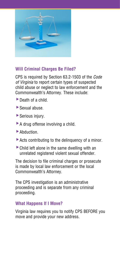

# **Will Criminal Charges Be Filed?**

CPS is required by Section 63.2-1503 of the *Code of Virginia* to report certain types of suspected child abuse or neglect to law enforcement and the Commonwealth's Attorney. These include:

- $\blacktriangleright$  Death of a child.
- $\blacktriangleright$  Sexual abuse.
- $\blacktriangleright$  Serious injury.
- $\blacktriangleright$  A drug offense involving a child.
- Abduction
- $\blacktriangleright$  Acts contributing to the delinquency of a minor.
- $\triangleright$  Child left alone in the same dwelling with an unrelated registered violent sexual offender.

The decision to file criminal charges or prosecute is made by local law enforcement or the local Commonwealth's Attorney.

The CPS investigation is an administrative proceeding and is separate from any criminal proceeding.

# **What Happens If I Move?**

Virginia law requires you to notify CPS BEFORE you move and provide your new address.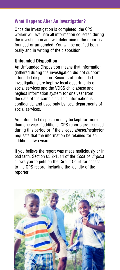# **What Happens After An Investigation?**

Once the investigation is completed, the CPS worker will evaluate all information collected during the investigation and will determine if the report is founded or unfounded. You will be notified both orally and in writing of the disposition.

# **Unfounded Disposition**

An Unfounded Disposition means that information gathered during the investigation did not support a founded disposition. Records of unfounded investigations are kept by local departments of social services and the VDSS child abuse and neglect information system for one year from the date of the complaint. This information is confidential and used only by local departments of social services.

An unfounded disposition may be kept for more than one year if additional CPS reports are received during this period or if the alleged abuser/neglector requests that the information be retained for an additional two years.

If you believe the report was made maliciously or in bad faith, Section 63.2-1514 of the *Code of Virginia* allows you to petition the Circuit Court for access to the CPS record, including the identity of the reporter.

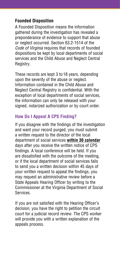# **Founded Disposition**

A Founded Disposition means the information gathered during the investigation has revealed a preponderance of evidence to support that abuse or neglect occurred. Section 63.2-1514 of the *Code of Virginia* requires that records of founded dispositions be kept by local departments of social services and the Child Abuse and Neglect Central Registry.

These records are kept 3 to 18 years, depending upon the severity of the abuse or neglect. Information contained in the Child Abuse and Neglect Central Registry is confidential. With the exception of local departments of social services, the information can only be released with your signed, notarized authorization or by court order.

# **How Do I Appeal A CPS Finding?**

If you disagree with the findings of the investigation and want your record purged, you must submit a written request to the director of the local department of social services **within 30 calendar** days after you receive the written notice of CPS findings. A local conference will be held. If you are dissatisfied with the outcome of the meeting, or if the local department of social services fails to send you a written decision within 45 days of your written request to appeal the findings, you may request an administrative review before a State Appeals Hearing Officer by writing to the Commissioner at the Virginia Department of Social Services.

If you are not satisfied with the Hearing Officer's decision, you have the right to petition the circuit court for a judicial record review. The CPS worker will provide you with a written explanation of the appeals process.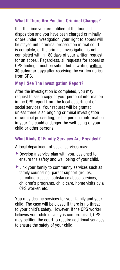## **What If There Are Pending Criminal Charges?**

If at the time you are notified of the founded disposition and you have been charged criminally or are under investigation, your right to appeal will be stayed until criminal prosecution in trial court is complete, or the criminal investigation is not completed within 180 days of your written request for an appeal. Regardless, all requests for appeal of CPS findings must be submitted in writing **within 30 calendar days** after receiving the written notice from CPS.

## **May I See The Investigation Report?**

After the investigation is completed, you may request to see a copy of your personal information in the CPS report from the local department of social services. Your request will be granted unless there is an ongoing criminal investigation or criminal proceeding; or the personal information in your file could endanger the well-being of your child or other persons.

## **What Kinds Of Family Services Are Provided?**

A local department of social services may:

- $\blacktriangleright$  Develop a service plan with you, designed to ensure the safety and well being of your child.
- $\blacktriangleright$  Link your family to community services such as family counseling, parent support groups. parenting classes, substance abuse services, children's programs, child care, home visits by a CPS worker, etc.

You may decline services for your family and your child. The case will be closed if there is no threat to your child's safety. However, if the CPS worker believes your child's safety is compromised, CPS may petition the court to require additional services to ensure the safety of your child.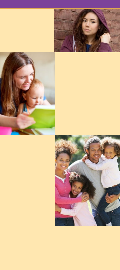



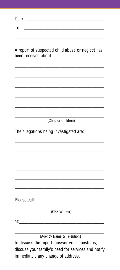| Date:                                                                    |
|--------------------------------------------------------------------------|
| To:                                                                      |
|                                                                          |
|                                                                          |
| A report of suspected child abuse or neglect has<br>been received about: |
|                                                                          |
|                                                                          |
|                                                                          |
|                                                                          |
| (Child or Children)                                                      |
| The allegations being investigated are:                                  |
|                                                                          |
|                                                                          |
|                                                                          |
|                                                                          |
|                                                                          |
| Please call:                                                             |
| (CPS Worker)                                                             |
|                                                                          |
| (Agency Name & Telephone)                                                |
| to discuss the report, answer your questions.                            |

discuss your family's need for services and notify immediately any change of address.